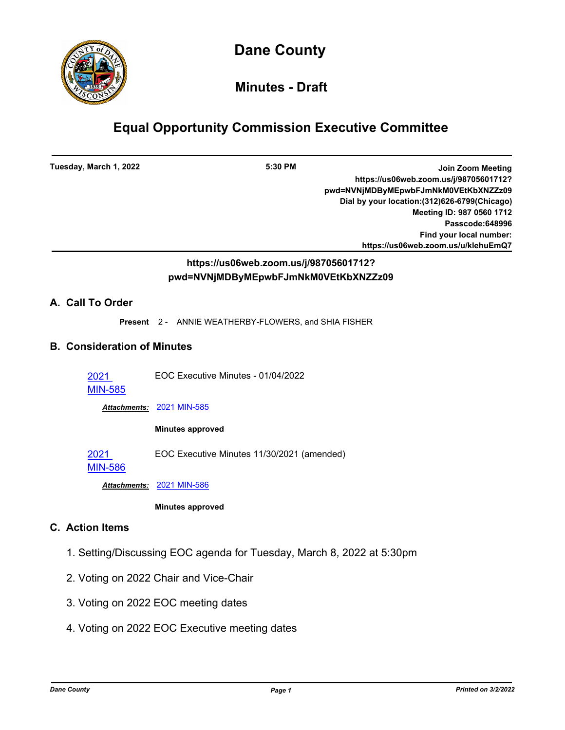

# **Minutes - Draft**

# **Equal Opportunity Commission Executive Committee**

| Tuesday, March 1, 2022                 | 5:30 PM<br><b>Join Zoom Meeting</b><br>https://us06web.zoom.us/j/98705601712?<br>pwd=NVNjMDByMEpwbFJmNkM0VEtKbXNZZz09<br>Dial by your location: (312) 626-6799 (Chicago)<br>Meeting ID: 987 0560 1712<br>Passcode:648996<br>Find your local number:<br>https://us06web.zoom.us/u/klehuEmQ7 |  |
|----------------------------------------|--------------------------------------------------------------------------------------------------------------------------------------------------------------------------------------------------------------------------------------------------------------------------------------------|--|
|                                        | https://us06web.zoom.us/j/98705601712?<br>pwd=NVNjMDByMEpwbFJmNkM0VEtKbXNZZz09                                                                                                                                                                                                             |  |
| A. Call To Order                       |                                                                                                                                                                                                                                                                                            |  |
|                                        | Present 2 - ANNIE WEATHERBY-FLOWERS, and SHIA FISHER                                                                                                                                                                                                                                       |  |
| <b>B. Consideration of Minutes</b>     |                                                                                                                                                                                                                                                                                            |  |
| 2021<br><b>MIN-585</b>                 | EOC Executive Minutes - 01/04/2022                                                                                                                                                                                                                                                         |  |
|                                        | Attachments: 2021 MIN-585                                                                                                                                                                                                                                                                  |  |
|                                        | <b>Minutes approved</b>                                                                                                                                                                                                                                                                    |  |
| 2021<br><b>MIN-586</b>                 | EOC Executive Minutes 11/30/2021 (amended)                                                                                                                                                                                                                                                 |  |
|                                        | Attachments: 2021 MIN-586                                                                                                                                                                                                                                                                  |  |
|                                        | <b>Minutes approved</b>                                                                                                                                                                                                                                                                    |  |
| <b>C.</b> Action Items                 |                                                                                                                                                                                                                                                                                            |  |
|                                        | 1. Setting/Discussing EOC agenda for Tuesday, March 8, 2022 at 5:30pm                                                                                                                                                                                                                      |  |
| 2. Voting on 2022 Chair and Vice-Chair |                                                                                                                                                                                                                                                                                            |  |
|                                        | 3. Voting on 2022 EOC meeting dates                                                                                                                                                                                                                                                        |  |

4. Voting on 2022 EOC Executive meeting dates